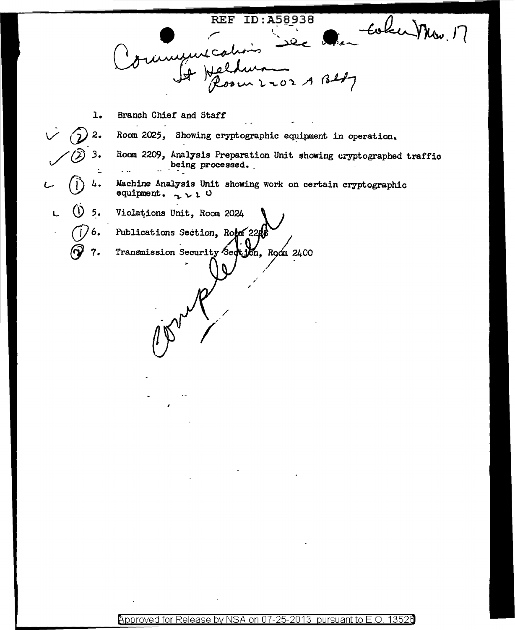REF ID: A58938 Coker Mon.  $2202ABBI$ Branch Chief and Staff  $\mathbf{1.}$ Room 2025, Showing cryptographic equipment in operation.  $2.$ Room 2209, Analysis Preparation Unit showing cryptographed traffic 3. being processed. t. Machine Analysis Unit showing work on certain cryptographic 4. equipment.  $\sim \nu$  0 5. Violations Unit, Room 2024  $\cup$  $\mathbf{L}$ Publications Section, Room 22A Transmission Security Section, Room 2400 7.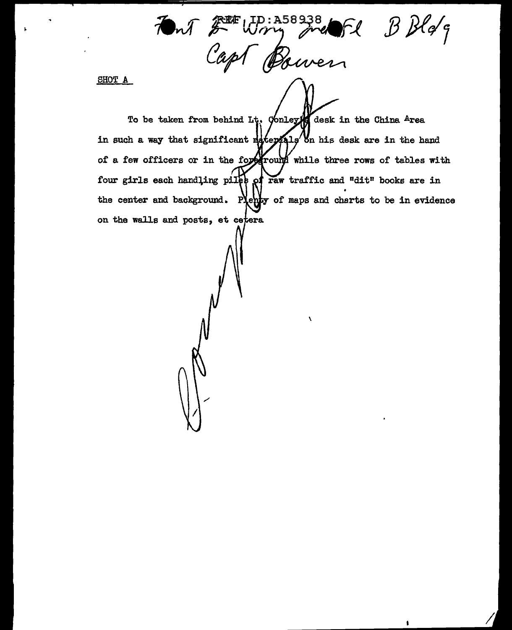Font Fitting French B Bldg

SHOT A

To be taken from behind Lt. Conley desk in the China Area in such a way that significant materials on his desk are in the hand of a few officers or in the foreground while three rows of tables with four girls each handling piles of raw traffic and "dit" books are in the center and background. Plenty of maps and charts to be in evidence on the walls and posts, et cetera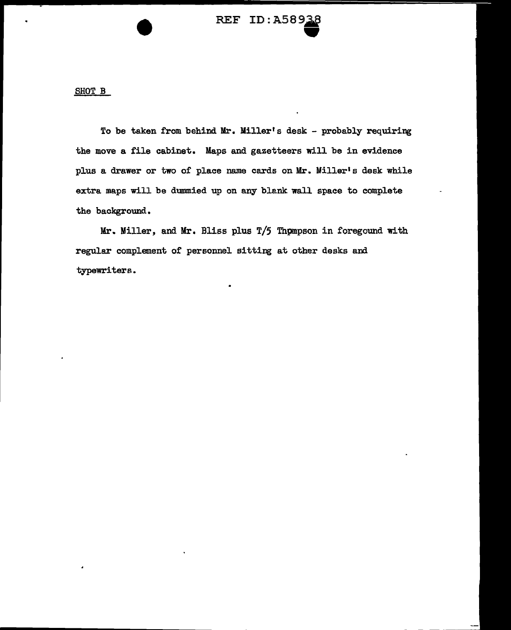## REF ID: A58938

SHOT B

•<br>•

To be taken from behind Mr. Miller's desk - probably requiring the move a file cabinet. Maps and gazetteers will be in evidence plus a drawer or two of place name cards on Mr. Miller's desk while extra maps will be dummied up on any blank wall space to complete the background.

Mr. Miller, and Mr. Bliss plus T/5 Thpmpson in foregound with regular complement of personnel sitting at other desks and typewriters.